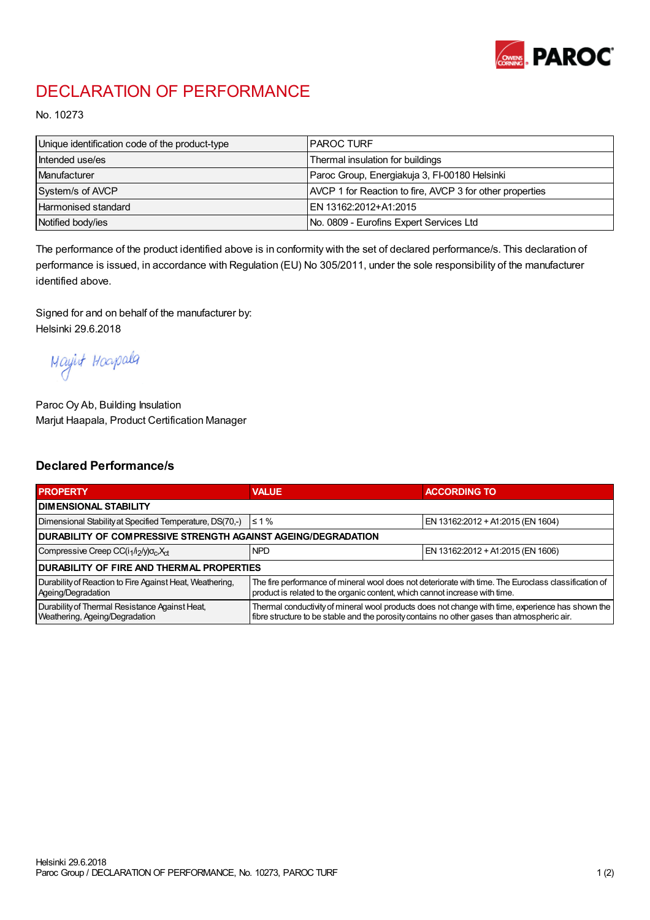

## DECLARATION OF PERFORMANCE

No. 10273

| Unique identification code of the product-type | I PAROC TURF                                             |
|------------------------------------------------|----------------------------------------------------------|
| Intended use/es                                | Thermal insulation for buildings                         |
| Manufacturer                                   | Paroc Group, Energiakuja 3, FI-00180 Helsinki            |
| System/s of AVCP                               | AVCP 1 for Reaction to fire, AVCP 3 for other properties |
| <b>Harmonised standard</b>                     | EN 13162:2012+A1:2015                                    |
| Notified body/ies                              | No. 0809 - Eurofins Expert Services Ltd                  |

The performance of the product identified above is in conformity with the set of declared performance/s. This declaration of performance is issued, in accordance with Regulation (EU) No 305/2011, under the sole responsibility of the manufacturer identified above.

Signed for and on behalf of the manufacturer by: Helsinki 29.6.2018

Mayirt Hoapala

Paroc Oy Ab, Building Insulation Marjut Haapala, Product Certification Manager

## Declared Performance/s

| <b>PROPERTY</b>                                                                  | <b>VALUE</b>                                                                                                                                                                                     | <b>ACCORDING TO</b>               |  |  |
|----------------------------------------------------------------------------------|--------------------------------------------------------------------------------------------------------------------------------------------------------------------------------------------------|-----------------------------------|--|--|
| <b>I DIMENSIONAL STABILITY</b>                                                   |                                                                                                                                                                                                  |                                   |  |  |
| Dimensional Stability at Specified Temperature, DS(70,-)                         | $\leq 1\%$                                                                                                                                                                                       | EN 13162:2012 + A1:2015 (EN 1604) |  |  |
| DURABILITY OF COMPRESSIVE STRENGTH AGAINST AGEING/DEGRADATION                    |                                                                                                                                                                                                  |                                   |  |  |
| Compressive Creep CC(i <sub>1</sub> /i <sub>2</sub> /y) $\sigma_c X_{ct}$        | <b>NPD</b>                                                                                                                                                                                       | EN 13162:2012 + A1:2015 (EN 1606) |  |  |
| I DURABILITY OF FIRE AND THERMAL PROPERTIES                                      |                                                                                                                                                                                                  |                                   |  |  |
| Durability of Reaction to Fire Against Heat, Weathering,<br>Ageing/Degradation   | The fire performance of mineral wool does not deteriorate with time. The Euroclass classification of<br>product is related to the organic content, which cannot increase with time.              |                                   |  |  |
| Durability of Thermal Resistance Against Heat,<br>Weathering, Ageing/Degradation | Thermal conductivity of mineral wool products does not change with time, experience has shown the<br>fibre structure to be stable and the porosity contains no other gases than atmospheric air. |                                   |  |  |